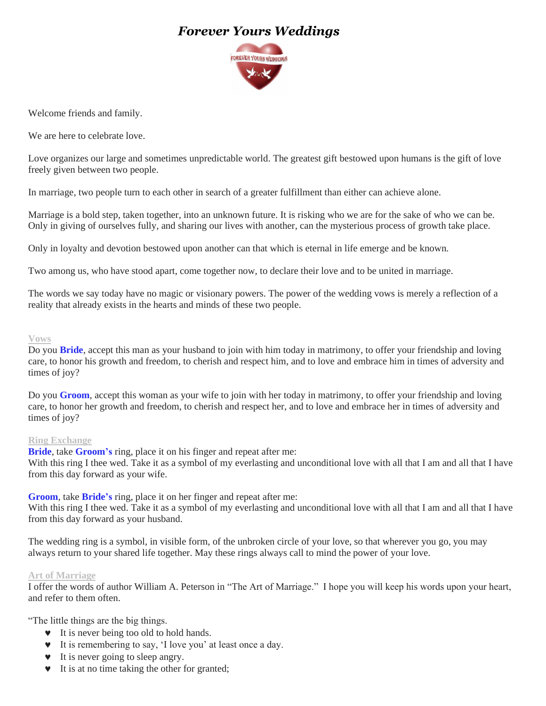# *Forever Yours Weddings*



Welcome friends and family.

We are here to celebrate love.

Love organizes our large and sometimes unpredictable world. The greatest gift bestowed upon humans is the gift of love freely given between two people.

In marriage, two people turn to each other in search of a greater fulfillment than either can achieve alone.

Marriage is a bold step, taken together, into an unknown future. It is risking who we are for the sake of who we can be. Only in giving of ourselves fully, and sharing our lives with another, can the mysterious process of growth take place.

Only in loyalty and devotion bestowed upon another can that which is eternal in life emerge and be known.

Two among us, who have stood apart, come together now, to declare their love and to be united in marriage.

The words we say today have no magic or visionary powers. The power of the wedding vows is merely a reflection of a reality that already exists in the hearts and minds of these two people.

#### **Vows**

Do you **Bride**, accept this man as your husband to join with him today in matrimony, to offer your friendship and loving care, to honor his growth and freedom, to cherish and respect him, and to love and embrace him in times of adversity and times of joy?

Do you **Groom**, accept this woman as your wife to join with her today in matrimony, to offer your friendship and loving care, to honor her growth and freedom, to cherish and respect her, and to love and embrace her in times of adversity and times of joy?

## **Ring Exchange**

**Bride**, take **Groom's** ring, place it on his finger and repeat after me:

With this ring I thee wed. Take it as a symbol of my everlasting and unconditional love with all that I am and all that I have from this day forward as your wife.

## **Groom**, take **Bride's** ring, place it on her finger and repeat after me:

With this ring I thee wed. Take it as a symbol of my everlasting and unconditional love with all that I am and all that I have from this day forward as your husband.

The wedding ring is a symbol, in visible form, of the unbroken circle of your love, so that wherever you go, you may always return to your shared life together. May these rings always call to mind the power of your love.

## **Art of Marriage**

I offer the words of author William A. Peterson in "The Art of Marriage." I hope you will keep his words upon your heart, and refer to them often.

"The little things are the big things.

- $\bullet$  It is never being too old to hold hands.
- $\bullet$  It is remembering to say, 'I love you' at least once a day.
- $\bullet$  It is never going to sleep angry.
- $\bullet$  It is at no time taking the other for granted;